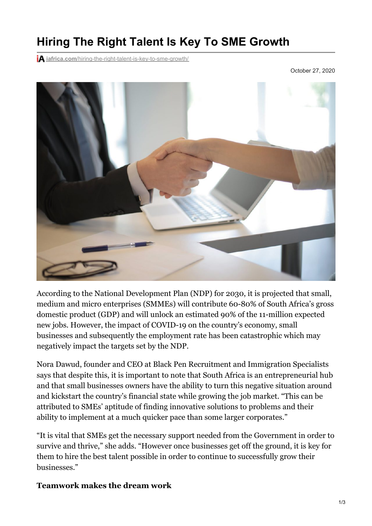## **Hiring The Right Talent Is Key To SME Growth**

**iA** iafrica.com[/hiring-the-right-talent-is-key-to-sme-growth/](https://iafrica.com/hiring-the-right-talent-is-key-to-sme-growth/)

October 27, 2020



According to the National Development Plan (NDP) for 2030, it is projected that small, medium and micro enterprises (SMMEs) will contribute 60-80% of South Africa's gross domestic product (GDP) and will unlock an estimated 90% of the 11-million expected new jobs. However, the impact of COVID-19 on the country's economy, small businesses and subsequently the employment rate has been catastrophic which may negatively impact the targets set by the NDP.

Nora Dawud, founder and CEO at Black Pen Recruitment and Immigration Specialists says that despite this, it is important to note that South Africa is an entrepreneurial hub and that small businesses owners have the ability to turn this negative situation around and kickstart the country's financial state while growing the job market. "This can be attributed to SMEs' aptitude of finding innovative solutions to problems and their ability to implement at a much quicker pace than some larger corporates."

"It is vital that SMEs get the necessary support needed from the Government in order to survive and thrive," she adds. "However once businesses get off the ground, it is key for them to hire the best talent possible in order to continue to successfully grow their businesses."

## **Teamwork makes the dream work**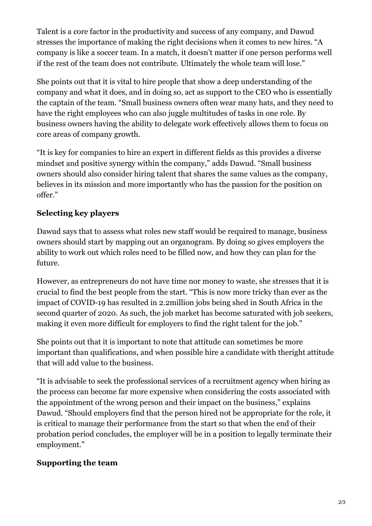Talent is a core factor in the productivity and success of any company, and Dawud stresses the importance of making the right decisions when it comes to new hires. "A company is like a soccer team. In a match, it doesn't matter if one person performs well if the rest of the team does not contribute. Ultimately the whole team will lose."

She points out that it is vital to hire people that show a deep understanding of the company and what it does, and in doing so, act as support to the CEO who is essentially the captain of the team. "Small business owners often wear many hats, and they need to have the right employees who can also juggle multitudes of tasks in one role. By business owners having the ability to delegate work effectively allows them to focus on core areas of company growth.

"It is key for companies to hire an expert in different fields as this provides a diverse mindset and positive synergy within the company," adds Dawud. "Small business owners should also consider hiring talent that shares the same values as the company, believes in its mission and more importantly who has the passion for the position on offer."

## **Selecting key players**

Dawud says that to assess what roles new staff would be required to manage, business owners should start by mapping out an organogram. By doing so gives employers the ability to work out which roles need to be filled now, and how they can plan for the future.

However, as entrepreneurs do not have time nor money to waste, she stresses that it is crucial to find the best people from the start. "This is now more tricky than ever as the impact of COVID-19 has resulted in 2.2million jobs being shed in South Africa in the second quarter of 2020. As such, the job market has become saturated with job seekers, making it even more difficult for employers to find the right talent for the job."

She points out that it is important to note that attitude can sometimes be more important than qualifications, and when possible hire a candidate with theright attitude that will add value to the business.

"It is advisable to seek the professional services of a recruitment agency when hiring as the process can become far more expensive when considering the costs associated with the appointment of the wrong person and their impact on the business," explains Dawud. "Should employers find that the person hired not be appropriate for the role, it is critical to manage their performance from the start so that when the end of their probation period concludes, the employer will be in a position to legally terminate their employment."

## **Supporting the team**